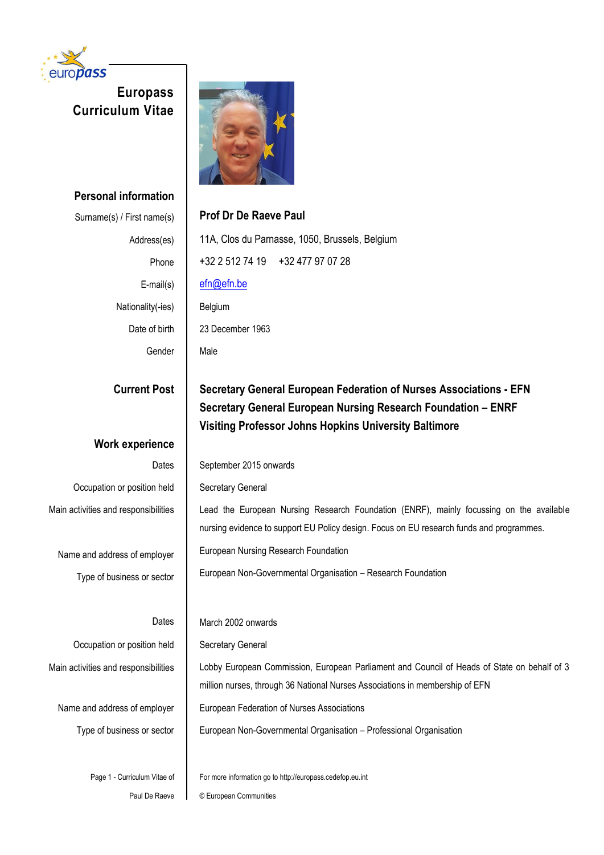

# **Europass Curriculum Vitae**



# **Personal information** Surname(s) / First name(s) **Prof Dr De Raeve Paul** Address(es) | 11A, Clos du Parnasse, 1050, Brussels, Belgium Phone +32 2 512 74 19 +32 477 97 07 28 E-mail(s) [efn@efn.be](mailto:efn@efn.be) Nationality(-ies) Belgium Date of birth 23 December 1963 Gender Male

# **Current Post Secretary General European Federation of Nurses Associations - EFN Secretary General European Nursing Research Foundation – ENRF Visiting Professor Johns Hopkins University Baltimore**

**Work experience Dates** Occupation or position held Main activities and responsibilities Name and address of employer Type of business or sector **Dates** September 2015 onwards Secretary General Lead the European Nursing Research Foundation (ENRF), mainly focussing on the available nursing evidence to support EU Policy design. Focus on EU research funds and programmes. European Nursing Research Foundation European Non-Governmental Organisation – Research Foundation March 2002 onwards Occupation or position held | Secretary General Main activities and responsibilities Lobby European Commission, European Parliament and Council of Heads of State on behalf of 3 million nurses, through 36 National Nurses Associations in membership of EFN Name and address of employer | European Federation of Nurses Associations Type of business or sector | European Non-Governmental Organisation – Professional Organisation

For more information go to http://europass.cedefop.eu.int © European Communities

Page 1 - Curriculum Vitae of Paul De Raeve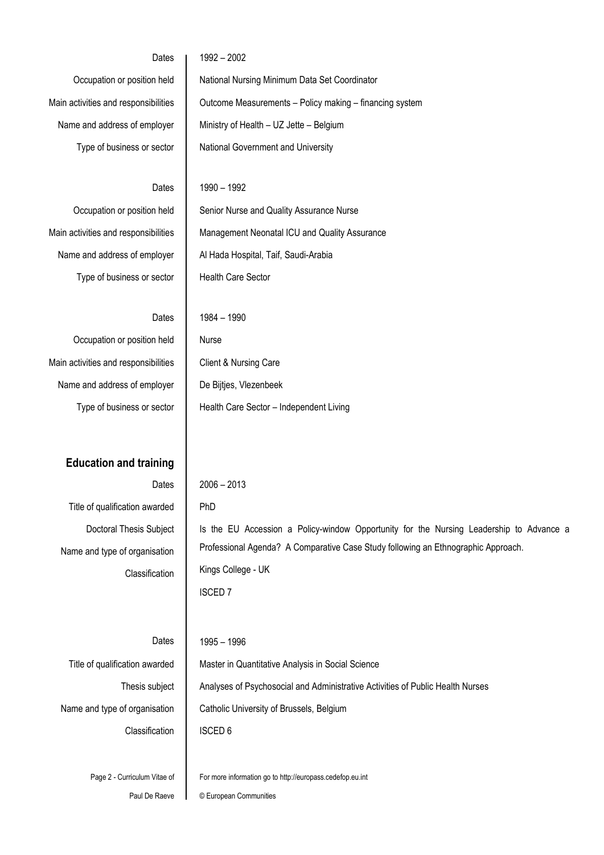| Dates                                | 1992 - 2002                                             |  |  |  |  |
|--------------------------------------|---------------------------------------------------------|--|--|--|--|
| Occupation or position held          | National Nursing Minimum Data Set Coordinator           |  |  |  |  |
| Main activities and responsibilities | Outcome Measurements - Policy making - financing system |  |  |  |  |
| Name and address of employer         | Ministry of Health - UZ Jette - Belgium                 |  |  |  |  |
| Type of business or sector           | National Government and University                      |  |  |  |  |
|                                      |                                                         |  |  |  |  |
| Dates                                | 1990 - 1992                                             |  |  |  |  |
| Occupation or position held          | Senior Nurse and Quality Assurance Nurse                |  |  |  |  |
| Main activities and responsibilities | Management Neonatal ICU and Quality Assurance           |  |  |  |  |
| Name and address of employer         | Al Hada Hospital, Taif, Saudi-Arabia                    |  |  |  |  |
| Type of business or sector           | <b>Health Care Sector</b>                               |  |  |  |  |
|                                      |                                                         |  |  |  |  |
| Dates                                | 1984 - 1990                                             |  |  |  |  |
| Occupation or position held          | <b>Nurse</b>                                            |  |  |  |  |
| Main activities and responsibilities | Client & Nursing Care                                   |  |  |  |  |
| Name and address of employer         | De Bijtjes, Vlezenbeek                                  |  |  |  |  |
| Type of business or sector           | Health Care Sector - Independent Living                 |  |  |  |  |

# **Education and training**

| Dates                          | $2006 - 2013$                                                                           |  |  |  |  |  |
|--------------------------------|-----------------------------------------------------------------------------------------|--|--|--|--|--|
| Title of qualification awarded | <b>PhD</b>                                                                              |  |  |  |  |  |
| Doctoral Thesis Subject        | Is the EU Accession a Policy-window Opportunity for the Nursing Leadership to Advance a |  |  |  |  |  |
| Name and type of organisation  | Professional Agenda? A Comparative Case Study following an Ethnographic Approach.       |  |  |  |  |  |
| Classification                 | Kings College - UK                                                                      |  |  |  |  |  |
|                                |                                                                                         |  |  |  |  |  |

Dates Classification | ISCED 6

# 1995 – 1996 Title of qualification awarded Master in Quantitative Analysis in Social Science Thesis subject | Analyses of Psychosocial and Administrative Activities of Public Health Nurses Name and type of organisation | Catholic University of Brussels, Belgium

Page 2 - Curriculum Vitae of

Paul De Raeve

© European Communities

For more information go to http://europass.cedefop.eu.int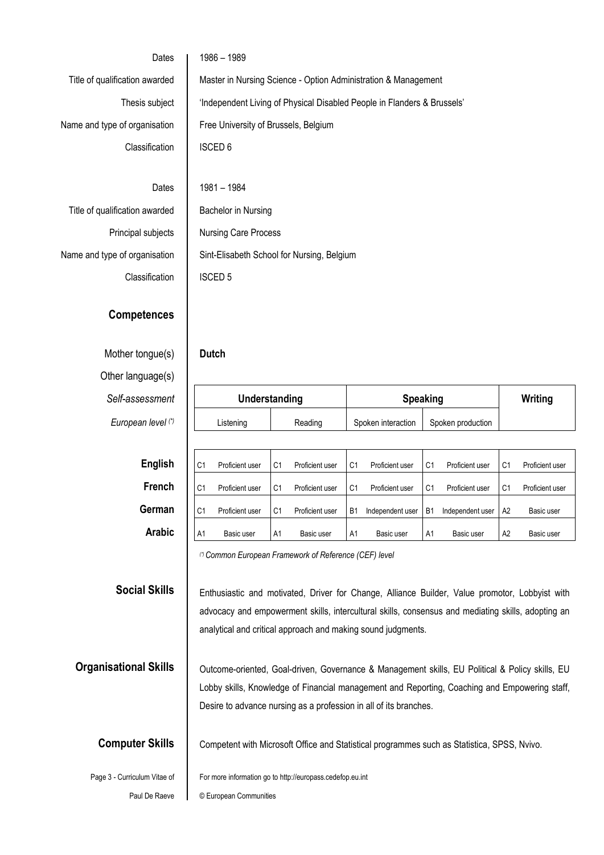Dates **1** 1986 – 1989 Title of qualification awarded | Master in Nursing Science - Option Administration & Management Thesis subject | 'Independent Living of Physical Disabled People in Flanders & Brussels' Name and type of organisation Free University of Brussels, Belgium Classification | ISCED 6 Dates 1981 – 1984 Title of qualification awarded | Bachelor in Nursing

Principal subjects | Nursing Care Process Name and type of organisation | Sint-Elisabeth School for Nursing, Belgium Classification | ISCED 5

# **Competences**

# Mother tongue(s) **Dutch**

Other language(s)

 $Self-assessment$ 

*European level*  $(*)$ 

|           | Understanding | <b>Speaking</b>    | Writing           |  |
|-----------|---------------|--------------------|-------------------|--|
| Listening | Reading       | Spoken interaction | Spoken production |  |
|           |               |                    |                   |  |

| <b>English</b> | C <sub>1</sub> | Proficient user | C <sub>1</sub> | Proficient user | C1             | Proficient user  | C <sub>1</sub> | Proficient user  | C1             | Proficient user |
|----------------|----------------|-----------------|----------------|-----------------|----------------|------------------|----------------|------------------|----------------|-----------------|
| French         | C1             | Proficient user | C1             | Proficient user | C1             | Proficient user  | C <sub>1</sub> | Proficient user  | C1             | Proficient user |
| German         | C1             | Proficient user | C1             | Proficient user | B <sub>1</sub> | Independent user | <b>B1</b>      | Independent user | A <sub>2</sub> | Basic user      |
| <b>Arabic</b>  | A1             | Basic user      | A <sub>1</sub> | Basic user      | A <sub>1</sub> | Basic user       | A <sub>1</sub> | Basic user       | A <sub>2</sub> | Basic user      |

*(\*)Common European Framework of Reference (CEF) level*

**Social Skills** | Enthusiastic and motivated, Driver for Change, Alliance Builder, Value promotor, Lobbyist with advocacy and empowerment skills, intercultural skills, consensus and mediating skills, adopting an analytical and critical approach and making sound judgments.

**Organisational Skills** | Outcome-oriented, Goal-driven, Governance & Management skills, EU Political & Policy skills, EU Lobby skills, Knowledge of Financial management and Reporting, Coaching and Empowering staff, Desire to advance nursing as a profession in all of its branches.

**Computer Skills** Competent with Microsoft Office and Statistical programmes such as Statistica, SPSS, Nvivo.

Page 3 - Curriculum Vitae of

Paul De Raeve

© European Communities

For more information go to http://europass.cedefop.eu.int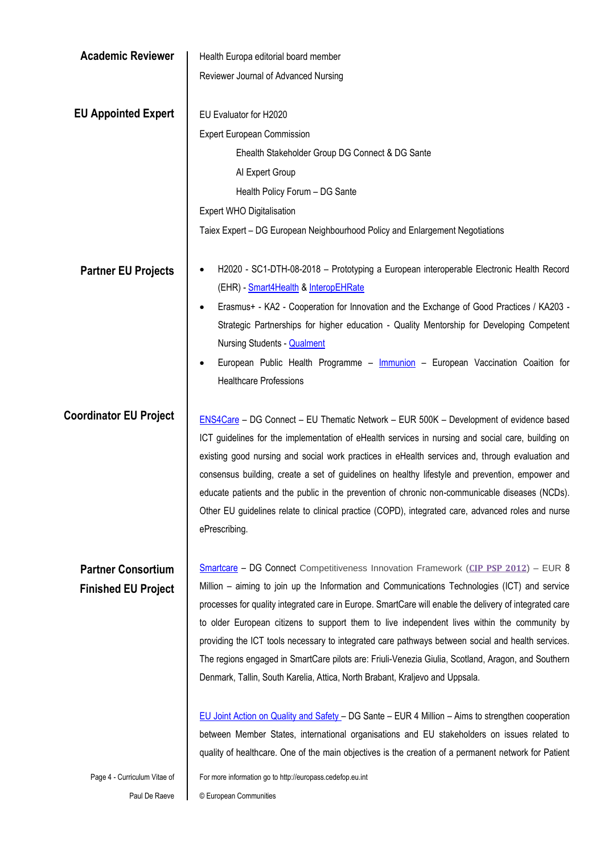| <b>Academic Reviewer</b>                                | Health Europa editorial board member                                                                                                                                                                                                                                                                                                                                                                                                                                                                                                                                                                                                                                                            |
|---------------------------------------------------------|-------------------------------------------------------------------------------------------------------------------------------------------------------------------------------------------------------------------------------------------------------------------------------------------------------------------------------------------------------------------------------------------------------------------------------------------------------------------------------------------------------------------------------------------------------------------------------------------------------------------------------------------------------------------------------------------------|
|                                                         | Reviewer Journal of Advanced Nursing                                                                                                                                                                                                                                                                                                                                                                                                                                                                                                                                                                                                                                                            |
|                                                         |                                                                                                                                                                                                                                                                                                                                                                                                                                                                                                                                                                                                                                                                                                 |
| <b>EU Appointed Expert</b>                              | EU Evaluator for H2020                                                                                                                                                                                                                                                                                                                                                                                                                                                                                                                                                                                                                                                                          |
|                                                         | <b>Expert European Commission</b>                                                                                                                                                                                                                                                                                                                                                                                                                                                                                                                                                                                                                                                               |
|                                                         | Ehealth Stakeholder Group DG Connect & DG Sante                                                                                                                                                                                                                                                                                                                                                                                                                                                                                                                                                                                                                                                 |
|                                                         | Al Expert Group                                                                                                                                                                                                                                                                                                                                                                                                                                                                                                                                                                                                                                                                                 |
|                                                         | Health Policy Forum - DG Sante                                                                                                                                                                                                                                                                                                                                                                                                                                                                                                                                                                                                                                                                  |
|                                                         | Expert WHO Digitalisation                                                                                                                                                                                                                                                                                                                                                                                                                                                                                                                                                                                                                                                                       |
|                                                         | Taiex Expert - DG European Neighbourhood Policy and Enlargement Negotiations                                                                                                                                                                                                                                                                                                                                                                                                                                                                                                                                                                                                                    |
| <b>Partner EU Projects</b>                              | H2020 - SC1-DTH-08-2018 - Prototyping a European interoperable Electronic Health Record<br>(EHR) - Smart4Health & InteropEHRate                                                                                                                                                                                                                                                                                                                                                                                                                                                                                                                                                                 |
|                                                         | Erasmus+ - KA2 - Cooperation for Innovation and the Exchange of Good Practices / KA203 -<br>Strategic Partnerships for higher education - Quality Mentorship for Developing Competent<br>Nursing Students - <b>Qualment</b>                                                                                                                                                                                                                                                                                                                                                                                                                                                                     |
|                                                         | European Public Health Programme - Immunion - European Vaccination Coaition for<br><b>Healthcare Professions</b>                                                                                                                                                                                                                                                                                                                                                                                                                                                                                                                                                                                |
| <b>Coordinator EU Project</b>                           | ENS4Care - DG Connect - EU Thematic Network - EUR 500K - Development of evidence based<br>ICT guidelines for the implementation of eHealth services in nursing and social care, building on<br>existing good nursing and social work practices in eHealth services and, through evaluation and<br>consensus building, create a set of guidelines on healthy lifestyle and prevention, empower and<br>educate patients and the public in the prevention of chronic non-communicable diseases (NCDs).<br>Other EU guidelines relate to clinical practice (COPD), integrated care, advanced roles and nurse<br>ePrescribing.                                                                       |
| <b>Partner Consortium</b><br><b>Finished EU Project</b> | <b>Smartcare – DG Connect Competitiveness Innovation Framework (CIP PSP 2012) – EUR 8</b><br>Million – aiming to join up the Information and Communications Technologies (ICT) and service<br>processes for quality integrated care in Europe. SmartCare will enable the delivery of integrated care<br>to older European citizens to support them to live independent lives within the community by<br>providing the ICT tools necessary to integrated care pathways between social and health services.<br>The regions engaged in SmartCare pilots are: Friuli-Venezia Giulia, Scotland, Aragon, and Southern<br>Denmark, Tallin, South Karelia, Attica, North Brabant, Kraljevo and Uppsala. |
| Page 4 - Curriculum Vitae of                            | EU Joint Action on Quality and Safety - DG Sante - EUR 4 Million - Aims to strengthen cooperation<br>between Member States, international organisations and EU stakeholders on issues related to<br>quality of healthcare. One of the main objectives is the creation of a permanent network for Patient<br>For more information go to http://europass.cedefop.eu.int                                                                                                                                                                                                                                                                                                                           |

Paul De Raeve | © European Communities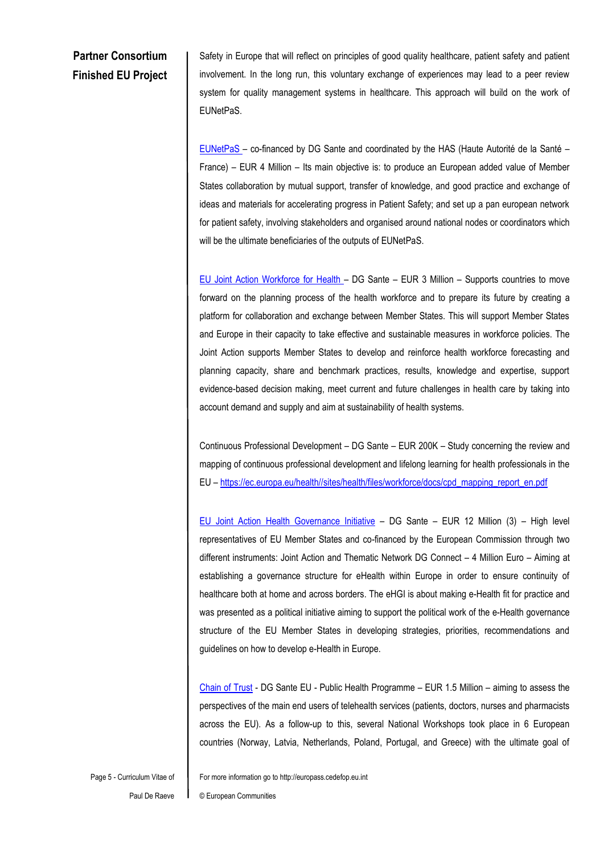# **Partner Consortium Finished EU Project**

Safety in Europe that will reflect on principles of good quality healthcare, patient safety and patient involvement. In the long run, this voluntary exchange of experiences may lead to a peer review system for quality management systems in healthcare. This approach will build on the work of EUNetPaS.

[EUNetPaS](http://www.efnweb.be/?page_id=891) – co-financed by DG Sante and coordinated by the HAS (Haute Autorité de la Santé – France) – EUR 4 Million – Its main objective is: to produce an European added value of Member States collaboration by mutual support, transfer of knowledge, and good practice and exchange of ideas and materials for accelerating progress in Patient Safety; and set up a pan european network for patient safety, involving stakeholders and organised around national nodes or coordinators which will be the ultimate beneficiaries of the outputs of EUNetPaS.

[EU Joint Action Workforce for Health](http://healthworkforce.eu/) – DG Sante – EUR 3 Million – Supports countries to move forward on the planning process of the health workforce and to prepare its future by creating a platform for collaboration and exchange between Member States. This will support Member States and Europe in their capacity to take effective and sustainable measures in workforce policies. The Joint Action supports Member States to develop and reinforce health workforce forecasting and planning capacity, share and benchmark practices, results, knowledge and expertise, support evidence-based decision making, meet current and future challenges in health care by taking into account demand and supply and aim at sustainability of health systems.

Continuous Professional Development – DG Sante – EUR 200K – Study concerning the review and mapping of continuous professional development and lifelong learning for health professionals in the EU – [https://ec.europa.eu/health//sites/health/files/workforce/docs/cpd\\_mapping\\_report\\_en.pdf](https://ec.europa.eu/health/sites/health/files/workforce/docs/cpd_mapping_report_en.pdf)

[EU Joint Action Health Governance Initiative](http://www.ehgi.eu/default.aspx) – DG Sante – EUR 12 Million (3) – High level representatives of EU Member States and co-financed by the European Commission through two different instruments: Joint Action and Thematic Network DG Connect – 4 Million Euro – Aiming at establishing a governance structure for eHealth within Europe in order to ensure continuity of healthcare both at home and across borders. The eHGI is about making e-Health fit for practice and was presented as a political initiative aiming to support the political work of the e-Health governance structure of the EU Member States in developing strategies, priorities, recommendations and guidelines on how to develop e-Health in Europe.

[Chain of Trust](http://www.eu-patient.eu/whatwedo/Projects/Chain-of-Trust/) - DG Sante EU - Public Health Programme - EUR 1.5 Million - aiming to assess the perspectives of the main end users of telehealth services (patients, doctors, nurses and pharmacists across the EU). As a follow-up to this, several National Workshops took place in 6 European countries (Norway, Latvia, Netherlands, Poland, Portugal, and Greece) with the ultimate goal of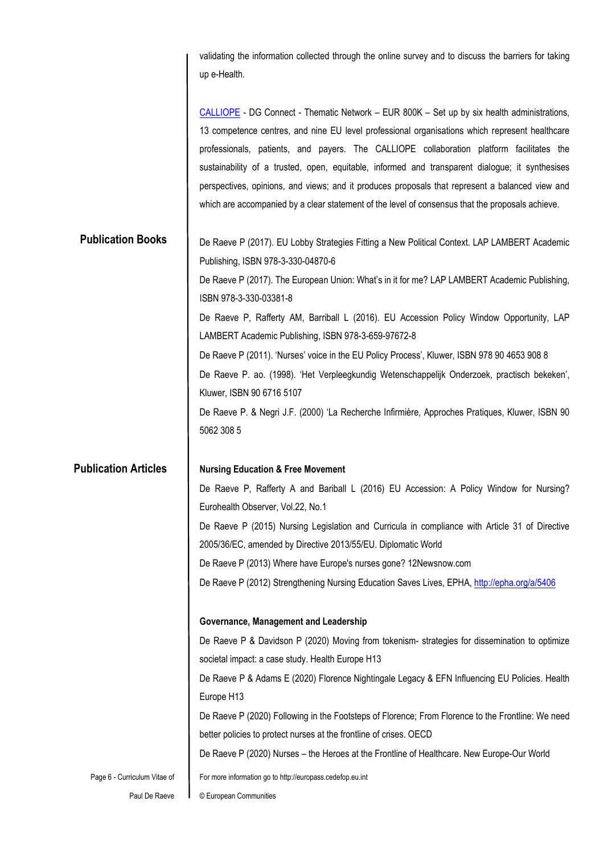validating the information collected through the online survey and to discuss the barriers for taking up e-Health.

[CALLIOPE](http://www.efnweb.be/?page_id=895) - DG Connect - Thematic Network – EUR 800K – Set up by six health administrations, 13 competence centres, and nine EU level professional organisations which represent healthcare professionals, patients, and payers. The CALLIOPE collaboration platform facilitates the sustainability of a trusted, open, equitable, informed and transparent dialogue; it synthesises perspectives, opinions, and views; and it produces proposals that represent a balanced view and which are accompanied by a clear statement of the level of consensus that the proposals achieve.

# Page 6 - Curriculum Vitae of For more information go to http://europass.cedefop.eu.int **Publication Books Publication Articles** De Raeve P (2017). EU Lobby Strategies Fitting a New Political Context. LAP LAMBERT Academic Publishing, ISBN 978-3-330-04870-6 De Raeve P (2017). The European Union: What's in it for me? LAP LAMBERT Academic Publishing, ISBN 978-3-330-03381-8 De Raeve P, Rafferty AM, Barriball L (2016). EU Accession Policy Window Opportunity, LAP LAMBERT Academic Publishing, ISBN 978-3-659-97672-8 De Raeve P (2011). 'Nurses' voice in the EU Policy Process', Kluwer, ISBN 978 90 4653 908 8 De Raeve P. ao. (1998). 'Het Verpleegkundig Wetenschappelijk Onderzoek, practisch bekeken', Kluwer, ISBN 90 6716 5107 De Raeve P. & Negri J.F. (2000) 'La Recherche Infirmière, Approches Pratiques, Kluwer, ISBN 90 5062 308 5 **Nursing Education & Free Movement** De Raeve P, Rafferty A and Bariball L (2016) EU Accession: A Policy Window for Nursing? Eurohealth Observer, Vol.22, No.1 De Raeve P (2015) Nursing Legislation and Curricula in compliance with Article 31 of Directive 2005/36/EC, amended by Directive 2013/55/EU. Diplomatic World De Raeve P (2013) Where have Europe's nurses gone? 12Newsnow.com De Raeve P (2012) Strengthening Nursing Education Saves Lives, EPHA[, http://epha.org/a/5406](http://epha.org/a/5406) **Governance, Management and Leadership** De Raeve P & Davidson P (2020) Moving from tokenism- strategies for dissemination to optimize societal impact: a case study. Health Europe H13 De Raeve P & Adams E (2020) Florence Nightingale Legacy & EFN Influencing EU Policies. Health Europe H13 De Raeve P (2020) Following in the Footsteps of Florence; From Florence to the Frontline: We need better policies to protect nurses at the frontline of crises. OECD De Raeve P (2020) Nurses – the Heroes at the Frontline of Healthcare. New Europe-Our World

Paul De Raeve

© European Communities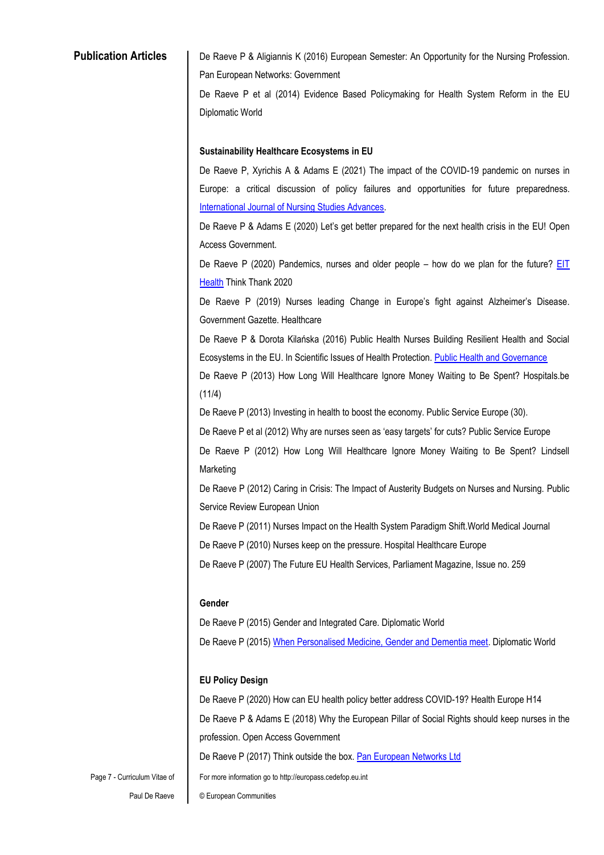**Publication Articles** | De Raeve P & Aligiannis K (2016) European Semester: An Opportunity for the Nursing Profession. Pan European Networks: Government

> De Raeve P et al (2014) Evidence Based Policymaking for Health System Reform in the EU Diplomatic World

### **Sustainability Healthcare Ecosystems in EU**

De Raeve P, Xyrichis A & Adams E (2021) The impact of the COVID-19 pandemic on nurses in Europe: a critical discussion of policy failures and opportunities for future preparedness. [International Journal of Nursing Studies Advances.](https://www.sciencedirect.com/science/article/pii/S2666142X2100014X?via%3Dihub) 

De Raeve P & Adams E (2020) Let's get better prepared for the next health crisis in the EU! Open Access Government.

De Raeve P (2020) Pandemics, nurses and older people – how do we plan for the future? EIT [Health](https://eithealth.eu/view/pandemics-nurses-and-older-people-how-do-we-plan-for-the-future/) Think Thank 2020

De Raeve P (2019) Nurses leading Change in Europe's fight against Alzheimer's Disease. Government Gazette. Healthcare

De Raeve P & Dorota Kilańska (2016) Public Health Nurses Building Resilient Health and Social Ecosystems in the EU. In Scientific Issues of Health Protection[. Public Health and Governance](http://www.ejournals.eu/Zdrowie-Publiczne-i-Zarzadzanie/2016/Tom-14-zeszyt-1/art/7685/)

De Raeve P (2013) How Long Will Healthcare Ignore Money Waiting to Be Spent? Hospitals.be (11/4)

De Raeve P (2013) Investing in health to boost the economy. Public Service Europe (30).

De Raeve P et al (2012) Why are nurses seen as 'easy targets' for cuts? Public Service Europe

De Raeve P (2012) How Long Will Healthcare Ignore Money Waiting to Be Spent? Lindsell Marketing

De Raeve P (2012) Caring in Crisis: The Impact of Austerity Budgets on Nurses and Nursing. Public Service Review European Union

De Raeve P (2011) Nurses Impact on the Health System Paradigm Shift.World Medical Journal

De Raeve P (2010) Nurses keep on the pressure. Hospital Healthcare Europe

De Raeve P (2007) The Future EU Health Services, Parliament Magazine, Issue no. 259

### **Gender**

De Raeve P (2015) Gender and Integrated Care. Diplomatic World

De Raeve P (2015) [When Personalised Medicine, Gender and Dementia meet.](http://diplomatic-world.com/en/editions/48#page-82-83) Diplomatic World

### **EU Policy Design**

De Raeve P (2020) How can EU health policy better address COVID-19? Health Europe H14 De Raeve P & Adams E (2018) Why the European Pillar of Social Rights should keep nurses in the profession. Open Access Government

De Raeve P (2017) Think outside the box. [Pan European Networks Ltd](http://www.paneuropeannetworks.com/health/think-outside-the-box/)

Page 7 - Curriculum Vitae of

For more information go to http://europass.cedefop.eu.int © European Communities

Paul De Raeve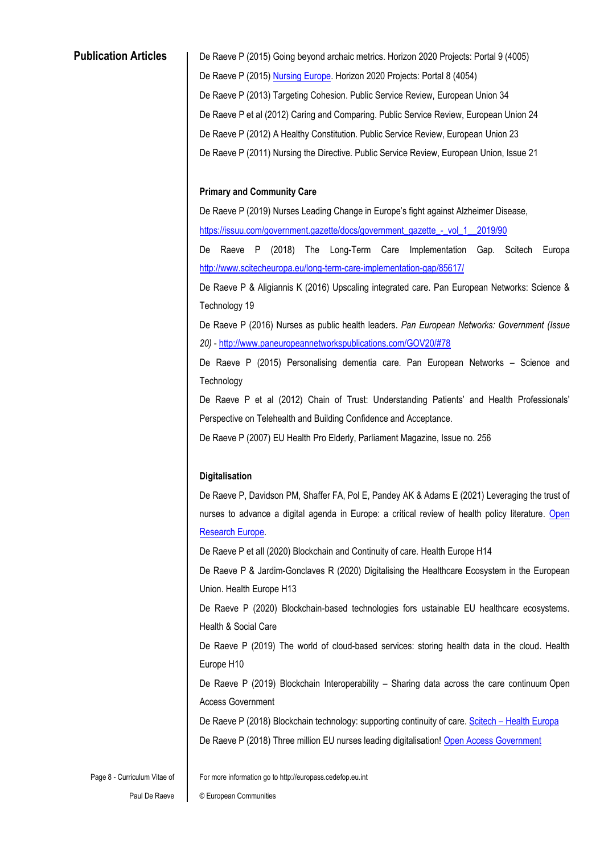**Publication Articles** | De Raeve P (2015) Going beyond archaic metrics. Horizon 2020 Projects: Portal 9 (4005) De Raeve P (2015) [Nursing Europe.](http://www.horizon2020publications.com/H8/#96) Horizon 2020 Projects: Portal 8 (4054) De Raeve P (2013) Targeting Cohesion. Public Service Review, European Union 34 De Raeve P et al (2012) Caring and Comparing. Public Service Review, European Union 24 De Raeve P (2012) A Healthy Constitution. Public Service Review, European Union 23 De Raeve P (2011) Nursing the Directive. Public Service Review, European Union, Issue 21

## **Primary and Community Care**

De Raeve P (2019) Nurses Leading Change in Europe's fight against Alzheimer Disease, [https://issuu.com/government.gazette/docs/government\\_gazette\\_-\\_vol\\_1\\_\\_2019/90](https://issuu.com/government.gazette/docs/government_gazette_-_vol_1__2019/90)

De Raeve P (2018) The Long-Term Care Implementation Gap. Scitech Europa <http://www.scitecheuropa.eu/long-term-care-implementation-gap/85617/>

De Raeve P & Aligiannis K (2016) Upscaling integrated care. Pan European Networks: Science & Technology 19

De Raeve P (2016) Nurses as public health leaders. *Pan European Networks: Government (Issue 20)* - <http://www.paneuropeannetworkspublications.com/GOV20/#78>

De Raeve P (2015) Personalising dementia care. Pan European Networks – Science and **Technology** 

De Raeve P et al (2012) Chain of Trust: Understanding Patients' and Health Professionals' Perspective on Telehealth and Building Confidence and Acceptance.

De Raeve P (2007) EU Health Pro Elderly, Parliament Magazine, Issue no. 256

# **Digitalisation**

De Raeve P, Davidson PM, Shaffer FA, Pol E, Pandey AK & Adams E (2021) Leveraging the trust of nurses to advance a digital agenda in Europe: a critical review of health policy literature. Open [Research Europe.](https://open-research-europe.ec.europa.eu/articles/1-26/v2#referee-response-26887) 

De Raeve P et all (2020) Blockchain and Continuity of care. Health Europe H14

De Raeve P & Jardim-Gonclaves R (2020) Digitalising the Healthcare Ecosystem in the European Union. Health Europe H13

De Raeve P (2020) Blockchain-based technologies fors ustainable EU healthcare ecosystems. Health & Social Care

De Raeve P (2019) The world of cloud-based services: storing health data in the cloud. Health Europe H10

De Raeve P (2019) Blockchain Interoperability – Sharing data across the care continuum Open Access Government

De Raeve P (2018) Blockchain technology: supporting continuity of care. Scitech – [Health Europa](https://www.healtheuropa.eu/blockchain-technology-continuity-of-care/85708/)

De Raeve P (2018) Three million EU nurses leading digitalisation! [Open Access Government](http://edition.pagesuite-professional.co.uk/html5/reader/production/default.aspx?pubname=&edid=100e4ef2-b7dd-4f7e-91e2-4484fd9457b7)

Page 8 - Curriculum Vitae of For more information go to http://europass.cedefop.eu.int © European Communities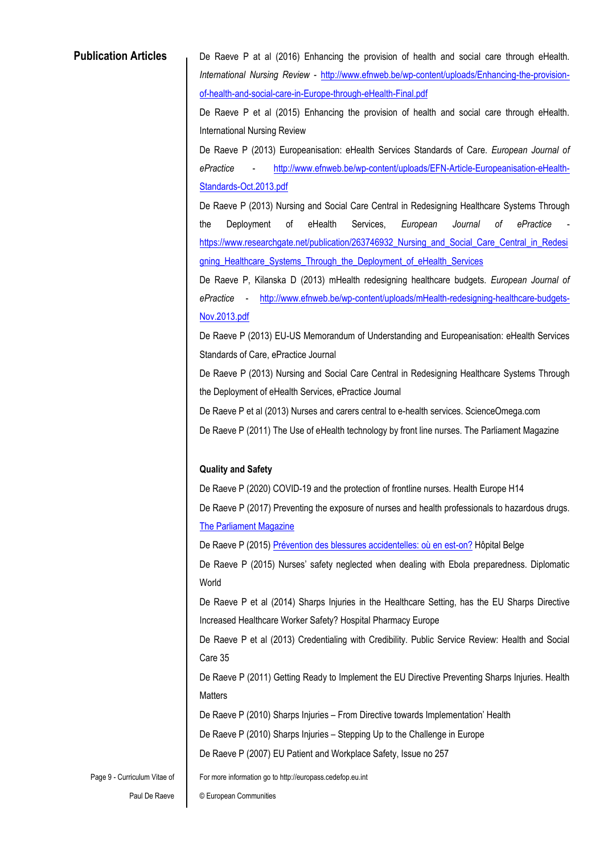**Publication Articles** . De Raeve P at al (2016) Enhancing the provision of health and social care through eHealth. *International Nursing Review* - [http://www.efnweb.be/wp-content/uploads/Enhancing-the-provision](http://www.efnweb.be/wp-content/uploads/Enhancing-the-provision-of-health-and-social-care-in-Europe-through-eHealth-Final.pdf)[of-health-and-social-care-in-Europe-through-eHealth-Final.pdf](http://www.efnweb.be/wp-content/uploads/Enhancing-the-provision-of-health-and-social-care-in-Europe-through-eHealth-Final.pdf)

> De Raeve P et al (2015) Enhancing the provision of health and social care through eHealth. International Nursing Review

> De Raeve P (2013) Europeanisation: eHealth Services Standards of Care. *European Journal of ePractice* - [http://www.efnweb.be/wp-content/uploads/EFN-Article-Europeanisation-eHealth-](http://www.efnweb.be/wp-content/uploads/EFN-Article-Europeanisation-eHealth-Standards-Oct.2013.pdf)[Standards-Oct.2013.pdf](http://www.efnweb.be/wp-content/uploads/EFN-Article-Europeanisation-eHealth-Standards-Oct.2013.pdf)

> De Raeve P (2013) Nursing and Social Care Central in Redesigning Healthcare Systems Through the Deployment of eHealth Services, *European Journal of ePractice* [https://www.researchgate.net/publication/263746932\\_Nursing\\_and\\_Social\\_Care\\_Central\\_in\\_Redesi](https://www.researchgate.net/publication/263746932_Nursing_and_Social_Care_Central_in_Redesigning_Healthcare_Systems_Through_the_Deployment_of_eHealth_Services) gning Healthcare Systems Through the Deployment of eHealth Services

> De Raeve P, Kilanska D (2013) mHealth redesigning healthcare budgets. *European Journal of ePractice* - [http://www.efnweb.be/wp-content/uploads/mHealth-redesigning-healthcare-budgets-](http://www.efnweb.be/wp-content/uploads/mHealth-redesigning-healthcare-budgets-Nov.2013.pdf)[Nov.2013.pdf](http://www.efnweb.be/wp-content/uploads/mHealth-redesigning-healthcare-budgets-Nov.2013.pdf)

> De Raeve P (2013) EU-US Memorandum of Understanding and Europeanisation: eHealth Services Standards of Care, ePractice Journal

> De Raeve P (2013) Nursing and Social Care Central in Redesigning Healthcare Systems Through the Deployment of eHealth Services, ePractice Journal

De Raeve P et al (2013) Nurses and carers central to e-health services. ScienceOmega.com

De Raeve P (2011) The Use of eHealth technology by front line nurses. The Parliament Magazine

### **Quality and Safety**

De Raeve P (2020) COVID-19 and the protection of frontline nurses. Health Europe H14 De Raeve P (2017) Preventing the exposure of nurses and health professionals to hazardous drugs. [The Parliament Magazine](https://www.theparliamentmagazine.eu/articles/partner_article/efn/preventing-exposure-nurses-and-health-professionals-hazardous-drugs)

De Raeve P (2015) [Prévention des blessures accidentelles: où en est-on?](http://www.hospitals.be/images_produit/upload_fichier/359_HOSF0132_zmags-rd.pdf) Hôpital Belge

De Raeve P (2015) Nurses' safety neglected when dealing with Ebola preparedness. Diplomatic World

De Raeve P et al (2014) Sharps Injuries in the Healthcare Setting, has the EU Sharps Directive Increased Healthcare Worker Safety? Hospital Pharmacy Europe

De Raeve P et al (2013) Credentialing with Credibility. Public Service Review: Health and Social Care 35

De Raeve P (2011) Getting Ready to Implement the EU Directive Preventing Sharps Injuries. Health **Matters** 

De Raeve P (2010) Sharps Injuries – From Directive towards Implementation' Health

De Raeve P (2010) Sharps Injuries – Stepping Up to the Challenge in Europe

De Raeve P (2007) EU Patient and Workplace Safety, Issue no 257

Page 9 - Curriculum Vitae of

For more information go to http://europass.cedefop.eu.int

Paul De Raeve

© European Communities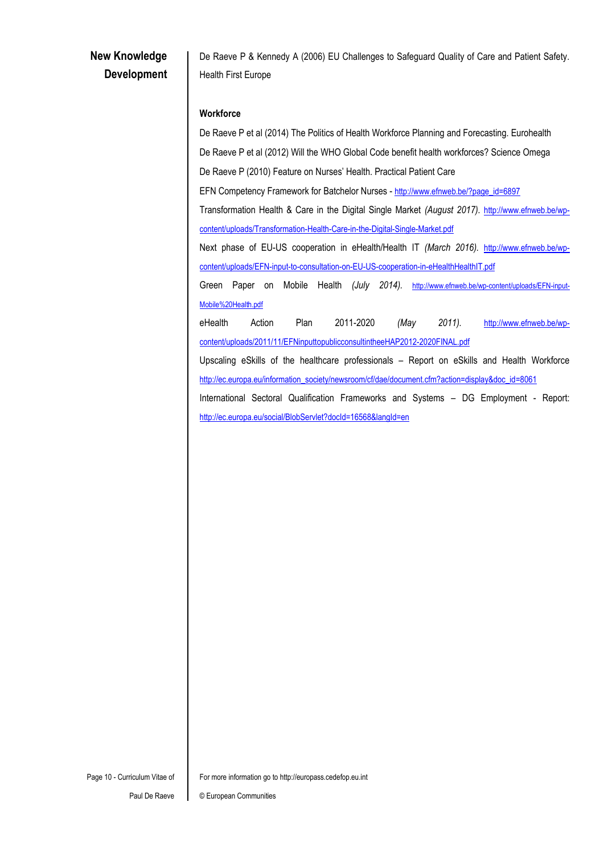De Raeve P & Kennedy A (2006) EU Challenges to Safeguard Quality of Care and Patient Safety. Health First Europe

## **Workforce**

De Raeve P et al (2014) The Politics of Health Workforce Planning and Forecasting. Eurohealth De Raeve P et al (2012) Will the WHO Global Code benefit health workforces? Science Omega De Raeve P (2010) Feature on Nurses' Health. Practical Patient Care

EFN Competency Framework for Batchelor Nurses - [http://www.efnweb.be/?page\\_id=6897](http://www.efnweb.be/?page_id=6897)

Transformation Health & Care in the Digital Single Market *(August 2017).* [http://www.efnweb.be/wp](http://www.efnweb.be/wp-content/uploads/Transformation-Health-Care-in-the-Digital-Single-Market.pdf)[content/uploads/Transformation-Health-Care-in-the-Digital-Single-Market.pdf](http://www.efnweb.be/wp-content/uploads/Transformation-Health-Care-in-the-Digital-Single-Market.pdf)

Next phase of EU-US cooperation in eHealth/Health IT *(March 2016).* [http://www.efnweb.be/wp](http://www.efnweb.be/wp-content/uploads/EFN-input-to-consultation-on-EU-US-cooperation-in-eHealthHealthIT.pdf)[content/uploads/EFN-input-to-consultation-on-EU-US-cooperation-in-eHealthHealthIT.pdf](http://www.efnweb.be/wp-content/uploads/EFN-input-to-consultation-on-EU-US-cooperation-in-eHealthHealthIT.pdf)

Green Paper on Mobile Health *(July 2014).* [http://www.efnweb.be/wp-content/uploads/EFN-input-](http://www.efnweb.be/wp-content/uploads/EFN-input-Mobile%20Health.pdf)[Mobile%20Health.pdf](http://www.efnweb.be/wp-content/uploads/EFN-input-Mobile%20Health.pdf)

eHealth Action Plan 2011-2020 *(May 2011).* [http://www.efnweb.be/wp](http://www.efnweb.be/wp-content/uploads/2011/11/EFNinputtopublicconsultintheeHAP2012-2020FINAL.pdf)[content/uploads/2011/11/EFNinputtopublicconsultintheeHAP2012-2020FINAL.pdf](http://www.efnweb.be/wp-content/uploads/2011/11/EFNinputtopublicconsultintheeHAP2012-2020FINAL.pdf)

Upscaling eSkills of the healthcare professionals – Report on eSkills and Health Workforce [http://ec.europa.eu/information\\_society/newsroom/cf/dae/document.cfm?action=display&doc\\_id=8061](http://ec.europa.eu/information_society/newsroom/cf/dae/document.cfm?action=display&doc_id=8061)

International Sectoral Qualification Frameworks and Systems – DG Employment - Report: <http://ec.europa.eu/social/BlobServlet?docId=16568&langId=en>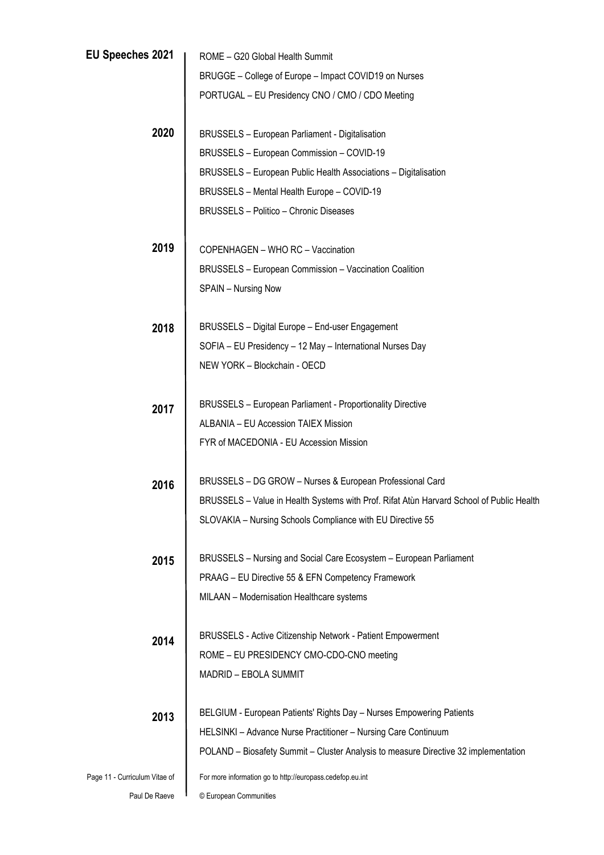| EU Speeches 2021              | ROME - G20 Global Health Summit                                                          |
|-------------------------------|------------------------------------------------------------------------------------------|
|                               | BRUGGE - College of Europe - Impact COVID19 on Nurses                                    |
|                               | PORTUGAL - EU Presidency CNO / CMO / CDO Meeting                                         |
| 2020                          | <b>BRUSSELS - European Parliament - Digitalisation</b>                                   |
|                               | BRUSSELS - European Commission - COVID-19                                                |
|                               | BRUSSELS - European Public Health Associations - Digitalisation                          |
|                               | BRUSSELS - Mental Health Europe - COVID-19                                               |
|                               | BRUSSELS - Politico - Chronic Diseases                                                   |
| 2019                          | COPENHAGEN - WHO RC - Vaccination                                                        |
|                               | BRUSSELS - European Commission - Vaccination Coalition                                   |
|                               | SPAIN - Nursing Now                                                                      |
| 2018                          | BRUSSELS - Digital Europe - End-user Engagement                                          |
|                               | SOFIA - EU Presidency - 12 May - International Nurses Day                                |
|                               | NEW YORK - Blockchain - OECD                                                             |
| 2017                          | <b>BRUSSELS</b> - European Parliament - Proportionality Directive                        |
|                               | ALBANIA - EU Accession TAIEX Mission                                                     |
|                               | FYR of MACEDONIA - EU Accession Mission                                                  |
| 2016                          | BRUSSELS - DG GROW - Nurses & European Professional Card                                 |
|                               | BRUSSELS - Value in Health Systems with Prof. Rifat Atùn Harvard School of Public Health |
|                               | SLOVAKIA - Nursing Schools Compliance with EU Directive 55                               |
| 2015                          | BRUSSELS - Nursing and Social Care Ecosystem - European Parliament                       |
|                               | PRAAG - EU Directive 55 & EFN Competency Framework                                       |
|                               | MILAAN - Modernisation Healthcare systems                                                |
| 2014                          | <b>BRUSSELS</b> - Active Citizenship Network - Patient Empowerment                       |
|                               | ROME - EU PRESIDENCY CMO-CDO-CNO meeting                                                 |
|                               | MADRID - EBOLA SUMMIT                                                                    |
| 2013                          | BELGIUM - European Patients' Rights Day - Nurses Empowering Patients                     |
|                               | HELSINKI - Advance Nurse Practitioner - Nursing Care Continuum                           |
|                               | POLAND – Biosafety Summit – Cluster Analysis to measure Directive 32 implementation      |
| Page 11 - Curriculum Vitae of | For more information go to http://europass.cedefop.eu.int                                |
| Paul De Raeve                 | © European Communities                                                                   |